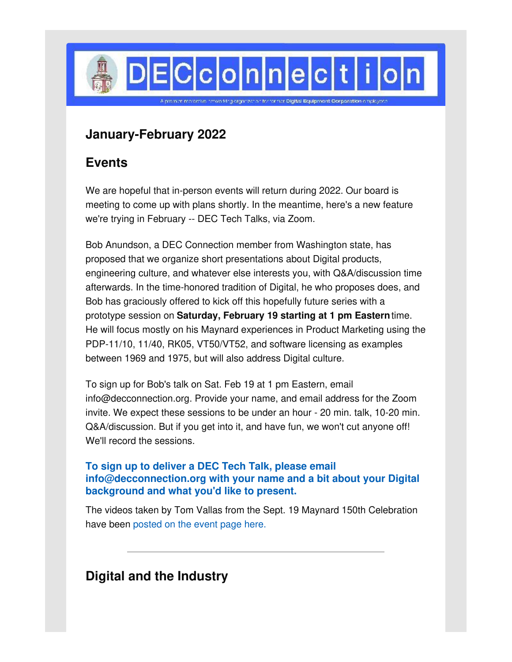

# **January-February 2022**

## **Events**

We are hopeful that in-person events will return during 2022. Our board is meeting to come up with plans shortly. In the meantime, here's a new feature we're trying in February -- DEC Tech Talks, via Zoom.

Bob Anundson, a DEC Connection member from Washington state, has proposed that we organize short presentations about Digital products, engineering culture, and whatever else interests you, with Q&A/discussion time afterwards. In the time-honored tradition of Digital, he who proposes does, and Bob has graciously offered to kick off this hopefully future series with a prototype session on **Saturday, February 19 starting at 1 pm Eastern**time. He will focus mostly on his Maynard experiences in Product Marketing using the PDP-11/10, 11/40, RK05, VT50/VT52, and software licensing as examples between 1969 and 1975, but will also address Digital culture.

To sign up for Bob's talk on Sat. Feb 19 at 1 pm Eastern, email info@decconnection.org. Provide your name, and email address for the Zoom invite. We expect these sessions to be under an hour - 20 min. talk, 10-20 min. Q&A/discussion. But if you get into it, and have fun, we won't cut anyone off! We'll record the sessions.

#### **To sign up to deliver a DEC Tech Talk, please email info@decconnection.org with your name and a bit about your Digital background and what you'd like to present.**

The videos taken by Tom Vallas from the Sept. 19 Maynard 150th Celebration have been [posted](http://www.decconnection.org/events-Maynard150-19Sep21.htm) on the event page here.

# **Digital and the Industry**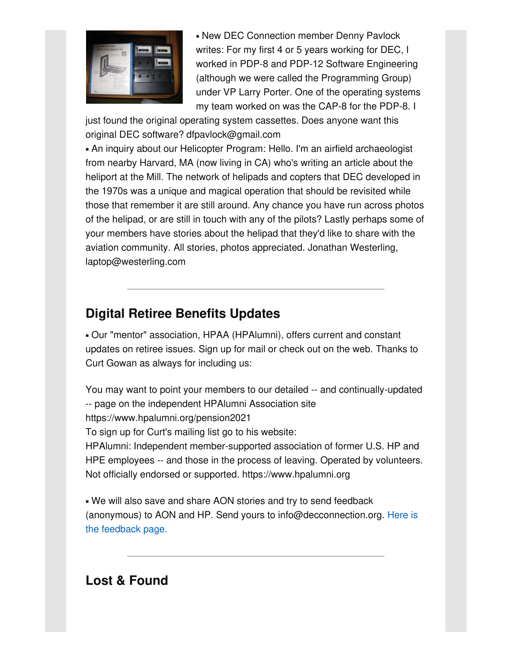

**- New DEC Connection member Denny Pavlock** writes: For my first 4 or 5 years working for DEC, I worked in PDP-8 and PDP-12 Software Engineering (although we were called the Programming Group) under VP Larry Porter. One of the operating systems my team worked on was the CAP-8 for the PDP-8. I

just found the original operating system cassettes. Does anyone want this original DEC software? dfpavlock@gmail.com

▪ An inquiry about our Helicopter Program: Hello. I'm an airfield archaeologist from nearby Harvard, MA (now living in CA) who's writing an article about the heliport at the Mill. The network of helipads and copters that DEC developed in the 1970s was a unique and magical operation that should be revisited while those that remember it are still around. Any chance you have run across photos of the helipad, or are still in touch with any of the pilots? Lastly perhaps some of your members have stories about the helipad that they'd like to share with the aviation community. All stories, photos appreciated. Jonathan Westerling, laptop@westerling.com

# **Digital Retiree Benefits Updates**

▪ Our "mentor" association, HPAA (HPAlumni), offers current and constant updates on retiree issues. Sign up for mail or check out on the web. Thanks to Curt Gowan as always for including us:

You may want to point your members to our detailed -- and continually-updated -- page on the independent HPAlumni Association site https://www.hpalumni.org/pension2021 To sign up for Curt's mailing list go to his website: HPAlumni: Independent member-supported association of former U.S. HP and HPE employees -- and those in the process of leaving. Operated by volunteers. Not officially endorsed or supported. https://www.hpalumni.org

. We will also save and share AON stories and try to send feedback (anonymous) to AON and HP. Send yours to [info@decconnection.org.](http://www.decconnection.org/hpretiree-medical.htm) Here is the feedback page.

## **Lost & Found**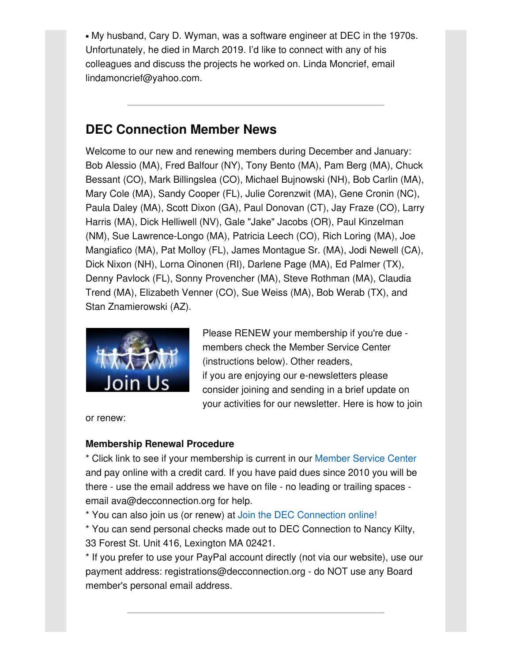▪ My husband, Cary D. Wyman, was a software engineer at DEC in the 1970s. Unfortunately, he died in March 2019. I'd like to connect with any of his colleagues and discuss the projects he worked on. Linda Moncrief, email lindamoncrief@yahoo.com.

## **DEC Connection Member News**

Welcome to our new and renewing members during December and January: Bob Alessio (MA), Fred Balfour (NY), Tony Bento (MA), Pam Berg (MA), Chuck Bessant (CO), Mark Billingslea (CO), Michael Bujnowski (NH), Bob Carlin (MA), Mary Cole (MA), Sandy Cooper (FL), Julie Corenzwit (MA), Gene Cronin (NC), Paula Daley (MA), Scott Dixon (GA), Paul Donovan (CT), Jay Fraze (CO), Larry Harris (MA), Dick Helliwell (NV), Gale "Jake" Jacobs (OR), Paul Kinzelman (NM), Sue Lawrence-Longo (MA), Patricia Leech (CO), Rich Loring (MA), Joe Mangiafico (MA), Pat Molloy (FL), James Montague Sr. (MA), Jodi Newell (CA), Dick Nixon (NH), Lorna Oinonen (RI), Darlene Page (MA), Ed Palmer (TX), Denny Pavlock (FL), Sonny Provencher (MA), Steve Rothman (MA), Claudia Trend (MA), Elizabeth Venner (CO), Sue Weiss (MA), Bob Werab (TX), and Stan Znamierowski (AZ).



Please RENEW your membership if you're due members check the Member Service Center (instructions below). Other readers, if you are enjoying our e-newsletters please consider joining and sending in a brief update on your activities for our newsletter. Here is how to join

or renew:

#### **Membership Renewal Procedure**

\* Click link to see if your membership is current in our [Member](http://www.decconnection.org/msclogin.php) Service Center and pay online with a credit card. If you have paid dues since 2010 you will be there - use the email address we have on file - no leading or trailing spaces email ava@decconnection.org for help.

\* You can also join us (or renew) at Join the DEC [Connection](http://www.decconnection.org/join-online.htm) online!

\* You can send personal checks made out to DEC Connection to Nancy Kilty, 33 Forest St. Unit 416, Lexington MA 02421.

\* If you prefer to use your PayPal account directly (not via our website), use our payment address: registrations@decconnection.org - do NOT use any Board member's personal email address.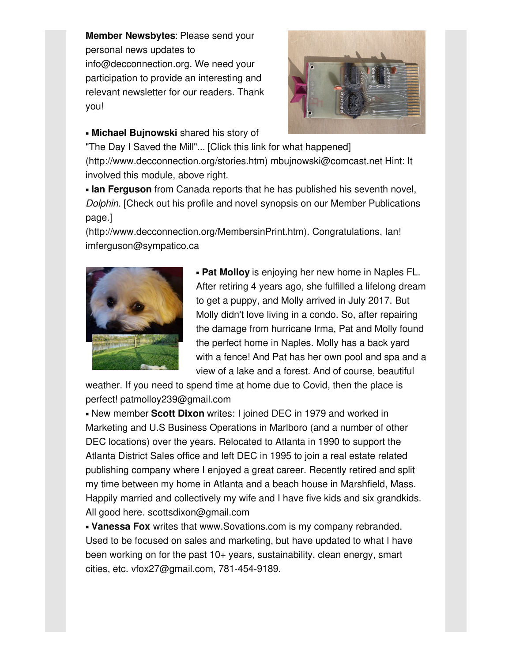**Member Newsbytes**: Please send your personal news updates to info@decconnection.org. We need your participation to provide an interesting and relevant newsletter for our readers. Thank you!



#### ▪ **Michael Bujnowski** shared his story of

"The Day I Saved the Mill"... [Click this link for what happened] (http://www.decconnection.org/stories.htm) mbujnowski@comcast.net Hint: It involved this module, above right.

**. Ian Ferguson** from Canada reports that he has published his seventh novel, *Dolphin*. [Check out his profile and novel synopsis on our Member Publications page.]

(http://www.decconnection.org/MembersinPrint.htm). Congratulations, Ian! imferguson@sympatico.ca



▪ **Pat Molloy** is enjoying her new home in Naples FL. After retiring 4 years ago, she fulfilled a lifelong dream to get a puppy, and Molly arrived in July 2017. But Molly didn't love living in a condo. So, after repairing the damage from hurricane Irma, Pat and Molly found the perfect home in Naples. Molly has a back yard with a fence! And Pat has her own pool and spa and a view of a lake and a forest. And of course, beautiful

weather. If you need to spend time at home due to Covid, then the place is perfect! patmolloy239@gmail.com

▪ New member **Scott Dixon** writes: I joined DEC in 1979 and worked in Marketing and U.S Business Operations in Marlboro (and a number of other DEC locations) over the years. Relocated to Atlanta in 1990 to support the Atlanta District Sales office and left DEC in 1995 to join a real estate related publishing company where I enjoyed a great career. Recently retired and split my time between my home in Atlanta and a beach house in Marshfield, Mass. Happily married and collectively my wife and I have five kids and six grandkids. All good here. scottsdixon@gmail.com

▪ **Vanessa Fox** writes that www.Sovations.com is my company rebranded. Used to be focused on sales and marketing, but have updated to what I have been working on for the past 10+ years, sustainability, clean energy, smart cities, etc. vfox27@gmail.com, 781-454-9189.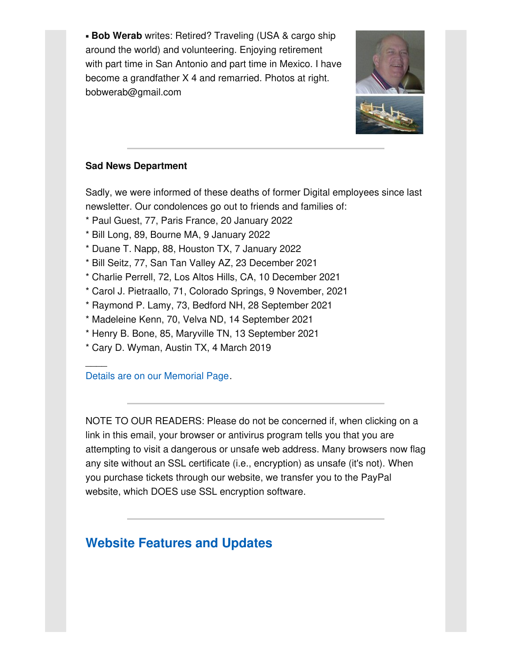**Bob Werab** writes: Retired? Traveling (USA & cargo ship around the world) and volunteering. Enjoying retirement with part time in San Antonio and part time in Mexico. I have become a grandfather X 4 and remarried. Photos at right. bobwerab@gmail.com



#### **Sad News Department**

Sadly, we were informed of these deaths of former Digital employees since last newsletter. Our condolences go out to friends and families of:

- \* Paul Guest, 77, Paris France, 20 January 2022
- \* Bill Long, 89, Bourne MA, 9 January 2022
- \* Duane T. Napp, 88, Houston TX, 7 January 2022
- \* Bill Seitz, 77, San Tan Valley AZ, 23 December 2021
- \* Charlie Perrell, 72, Los Altos Hills, CA, 10 December 2021
- \* Carol J. Pietraallo, 71, Colorado Springs, 9 November, 2021
- \* Raymond P. Lamy, 73, Bedford NH, 28 September 2021
- \* Madeleine Kenn, 70, Velva ND, 14 September 2021
- \* Henry B. Bone, 85, Maryville TN, 13 September 2021
- \* Cary D. Wyman, Austin TX, 4 March 2019

Details are on our [Memorial](http://www.decconnection.org/memorials.htm) Page.

 $\overline{\phantom{a}}$ 

NOTE TO OUR READERS: Please do not be concerned if, when clicking on a link in this email, your browser or antivirus program tells you that you are attempting to visit a dangerous or unsafe web address. Many browsers now flag any site without an SSL certificate (i.e., encryption) as unsafe (it's not). When you purchase tickets through our website, we transfer you to the PayPal website, which DOES use SSL encryption software.

## **Website [Features](http://www.decconnection.org) and Updates**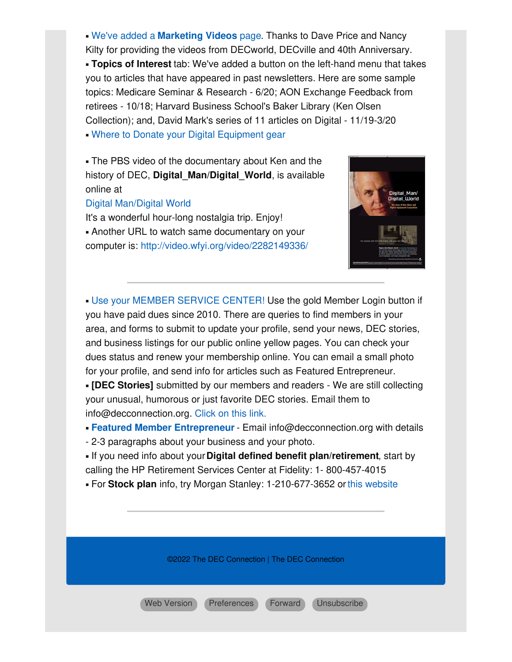▪ We've added a **[Marketing](http://www.decconnection.org/marketingvideos.htm) Videos** page. Thanks to Dave Price and Nancy Kilty for providing the videos from DECworld, DECville and 40th Anniversary. ▪ **Topics of Interest** tab: We've added a button on the left-hand menu that takes you to articles that have appeared in past newsletters. Here are some sample topics: Medicare Seminar & Research - 6/20; AON Exchange Feedback from retirees - 10/18; Harvard Business School's Baker Library (Ken Olsen Collection); and, David Mark's series of 11 articles on Digital - 11/19-3/20 • Where to Donate your Digital [Equipment](http://www.decconnection.org/DECdonations.htm) gear

**- The PBS video of the documentary about Ken and the** history of DEC, **Digital\_Man/Digital\_World**, is available online at

#### Digital [Man/Digital](https://www.pbs.org/video/digital-man-digital-world/) World

It's a wonderful hour-long nostalgia trip. Enjoy! **.** Another URL to watch same documentary on your computer is: <http://video.wfyi.org/video/2282149336/>



▪ Use your MEMBER [SERVICE](http://www.decconnection.org/msclogin.php) CENTER! Use the gold Member Login button if you have paid dues since 2010. There are queries to find members in your area, and forms to submit to update your profile, send your news, DEC stories, and business listings for our public online yellow pages. You can check your dues status and renew your membership online. You can email a small photo for your profile, and send info for articles such as Featured Entrepreneur.

▪ **[DEC Stories]** submitted by our members and readers - We are still collecting your unusual, humorous or just favorite DEC stories. Email them to info@decconnection.org. [Click](http://www.decconnection.org/stories.htm) on this link.

▪ **Featured Member [Entrepreneur](http://www.decconnection.org/entrepreneur.htm)** - Email info@decconnection.org with details

- 2-3 paragraphs about your business and your photo.

▪ If you need info about your**Digital defined benefit plan/retirement**, start by calling the HP Retirement Services Center at Fidelity: 1- 800-457-4015

▪ For **Stock plan** info, try Morgan Stanley: 1-210-677-3652 orthis [website](http://www.morganstanley.com/spc/knowledge/getting-started/service/stockplan-connect-has-replaced-benefit-access.html)

©2022 The DEC Connection | The DEC Connection

Web [Version](https://gem.godaddy.com/p/5c81631?pact=0-0-0-864282bb90492c26bd775b6a23655313fd13d23d) [Preferences](https://gem.godaddy.com/subscription/edit?pact=0-0-0-864282bb90492c26bd775b6a23655313fd13d23d) [Forward](https://gem.godaddy.com/forward/0-0-0-864282bb90492c26bd775b6a23655313fd13d23d) [Unsubscribe](https://gem.godaddy.com/opt_out?pact=0-0-0-864282bb90492c26bd775b6a23655313fd13d23d)